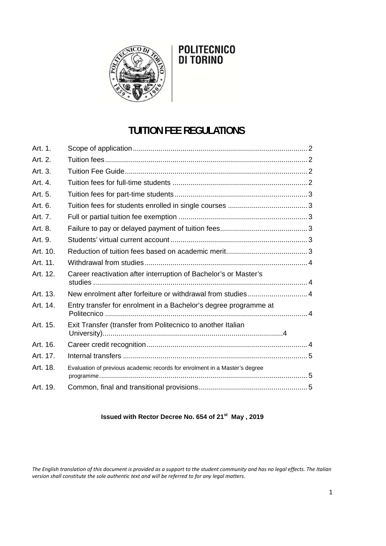

# POLITECNICO<br>DI TORINO

## **TUITION FEE REGULATIONS**

| Art. 1.  |                                                                            |  |
|----------|----------------------------------------------------------------------------|--|
| Art. 2.  |                                                                            |  |
| Art. 3.  |                                                                            |  |
| Art. 4.  |                                                                            |  |
| Art. 5.  |                                                                            |  |
| Art. 6.  |                                                                            |  |
| Art. 7.  |                                                                            |  |
| Art. 8.  |                                                                            |  |
| Art. 9.  |                                                                            |  |
| Art. 10. |                                                                            |  |
| Art. 11. |                                                                            |  |
| Art. 12. | Career reactivation after interruption of Bachelor's or Master's           |  |
| Art. 13. | New enrolment after forfeiture or withdrawal from studies 4                |  |
| Art. 14. | Entry transfer for enrolment in a Bachelor's degree programme at           |  |
| Art. 15. | Exit Transfer (transfer from Politecnico to another Italian                |  |
| Art. 16. |                                                                            |  |
| Art. 17. |                                                                            |  |
| Art. 18. | Evaluation of previous academic records for enrolment in a Master's degree |  |
| Art. 19. |                                                                            |  |

### **Issued with Rector Decree No. 654 of 21st May , 2019**

The English translation of this document is provided as a support to the student community and has no legal effects. The Italian *version shall constitute the sole authentic text and will be referred to for any legal matters.*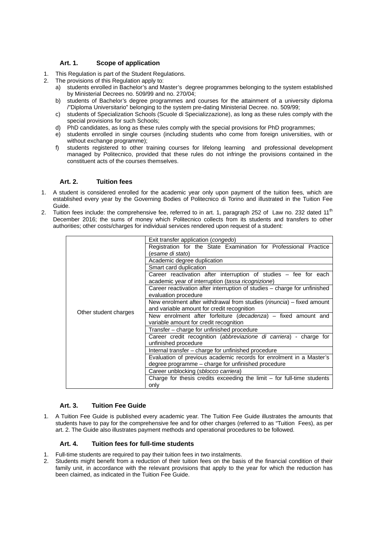#### **Art. 1. Scope of application**

- 1. This Regulation is part of the Student Regulations.
- 2. The provisions of this Regulation apply to:
	- a) students enrolled in Bachelor's and Master's degree programmes belonging to the system established by Ministerial Decrees no. 509/99 and no. 270/04;
	- b) students of Bachelor's degree programmes and courses for the attainment of a university diploma /"Diploma Universitario" belonging to the system pre-dating Ministerial Decree. no. 509/99;
	- c) students of Specialization Schools (Scuole di Specializzazione), as long as these rules comply with the special provisions for such Schools;
	- d) PhD candidates, as long as these rules comply with the special provisions for PhD programmes;
	- e) students enrolled in single courses (including students who come from foreign universities, with or without exchange programme);
	- f) students registered to other training courses for lifelong learning and professional development managed by Politecnico, provided that these rules do not infringe the provisions contained in the constituent acts of the courses themselves.

#### **Art. 2. Tuition fees**

- 1. A student is considered enrolled for the academic year only upon payment of the tuition fees, which are established every year by the Governing Bodies of Politecnico di Torino and illustrated in the Tuition Fee Guide.
- 2. Tuition fees include: the comprehensive fee, referred to in art. 1, paragraph 252 of Law no. 232 dated 11<sup>th</sup> December 2016; the sums of money which Politecnico collects from its students and transfers to other authorities; other costs/charges for individual services rendered upon request of a student:

|                       | Exit transfer application (congedo)                                       |
|-----------------------|---------------------------------------------------------------------------|
|                       | Registration for the State Examination for Professional Practice          |
|                       | (esame di stato)                                                          |
|                       | Academic degree duplication                                               |
|                       | Smart card duplication                                                    |
|                       | Career reactivation after interruption of studies – fee for each          |
|                       | academic year of interruption (tassa ricognizione)                        |
|                       | Career reactivation after interruption of studies - charge for unfinished |
|                       | evaluation procedure                                                      |
|                       | New enrolment after withdrawal from studies (rinuncia) – fixed amount     |
| Other student charges | and variable amount for credit recognition                                |
|                       | New enrolment after forfeiture (decadenza) – fixed amount and             |
|                       | variable amount for credit recognition                                    |
|                       | Transfer - charge for unfinished procedure                                |
|                       | Career credit recognition (abbreviazione di carriera) - charge for        |
|                       | unfinished procedure                                                      |
|                       | Internal transfer - charge for unfinished procedure                       |
|                       | Evaluation of previous academic records for enrolment in a Master's       |
|                       | degree programme - charge for unfinished procedure                        |
|                       | Career unblocking (sblocco carriera)                                      |
|                       | Charge for thesis credits exceeding the limit $-$ for full-time students  |
|                       | only                                                                      |

#### **Art. 3. Tuition Fee Guide**

1. A Tuition Fee Guide is published every academic year. The Tuition Fee Guide illustrates the amounts that students have to pay for the comprehensive fee and for other charges (referred to as "Tuition Fees), as per art. 2. The Guide also illustrates payment methods and operational procedures to be followed.

#### **Art. 4. Tuition fees for full-time students**

- Full-time students are required to pay their tuition fees in two instalments.
- 2. Students might benefit from a reduction of their tuition fees on the basis of the financial condition of their family unit, in accordance with the relevant provisions that apply to the year for which the reduction has been claimed, as indicated in the Tuition Fee Guide.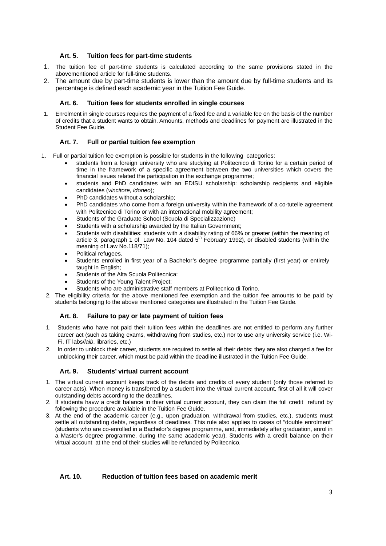#### **Art. 5. Tuition fees for part-time students**

- 1. The tuition fee of part-time students is calculated according to the same provisions stated in the abovementioned article for full-time students.
- 2. The amount due by part-time students is lower than the amount due by full-time students and its percentage is defined each academic year in the Tuition Fee Guide.

#### **Art. 6. Tuition fees for students enrolled in single courses**

1. Enrolment in single courses requires the payment of a fixed fee and a variable fee on the basis of the number of credits that a student wants to obtain. Amounts, methods and deadlines for payment are illustrated in the Student Fee Guide.

#### **Art. 7. Full or partial tuition fee exemption**

- 1. Full or partial tuition fee exemption is possible for students in the following categories:
	- students from a foreign university who are studying at Politecnico di Torino for a certain period of time in the framework of a specific agreement between the two universities which covers the financial issues related the participation in the exchange programme;
	- students and PhD candidates with an EDISU scholarship: scholarship recipients and eligible candidates (*vincitore, idoneo*);
	- PhD candidates without a scholarship;
	- PhD candidates who come from a foreign university within the framework of a co-tutelle agreement with Politecnico di Torino or with an international mobility agreement;
	- Students of the Graduate School (Scuola di Specializzazione)
	- Students with a scholarship awarded by the Italian Government;
	- Students with disabilities: students with a disability rating of 66% or greater (within the meaning of article 3, paragraph 1 of Law No. 104 dated 5<sup>th</sup> February 1992), or disabled students (within the meaning of Law No.118/71);
	- Political refugees.
	- Students enrolled in first year of a Bachelor's degree programme partially (first year) or entirely taught in English;
	- Students of the Alta Scuola Politecnica:
	- Students of the Young Talent Project;
	- Students who are administrative staff members at Politecnico di Torino.
	- 2. The eligibility criteria for the above mentioned fee exemption and the tuition fee amounts to be paid by students belonging to the above mentioned categories are illustrated in the Tuition Fee Guide.

#### **Art. 8. Failure to pay or late payment of tuition fees**

- 1. Students who have not paid their tuition fees within the deadlines are not entitled to perform any further career act (such as taking exams, withdrawing from studies, etc.) nor to use any university service (i.e. Wi-Fi, IT labs/*laib*, libraries, etc.)
- 2. In order to unblock their career, students are required to settle all their debts; they are also charged a fee for unblocking their career, which must be paid within the deadline illustrated in the Tuition Fee Guide.

#### **Art. 9. Students' virtual current account**

- 1. The virtual current account keeps track of the debits and credits of every student (only those referred to career acts). When money is transferred by a student into the virtual current account, first of all it will cover outstanding debts according to the deadlines.
- 2. If studenta havw a credit balance in thier virtual current account, they can claim the full credit refund by following the procedure available in the Tuition Fee Guide.
- 3. At the end of the academic career (e.g., upon graduation, withdrawal from studies, etc.), students must settle all outstanding debts, regardless of deadlines. This rule also applies to cases of "double enrolment" (students who are co-enrolled in a Bachelor's degree programme, and, immediately after graduation, enrol in a Master's degree programme, during the same academic year). Students with a credit balance on their virtual account at the end of their studies will be refunded by Politecnico.

#### **Art. 10. Reduction of tuition fees based on academic merit**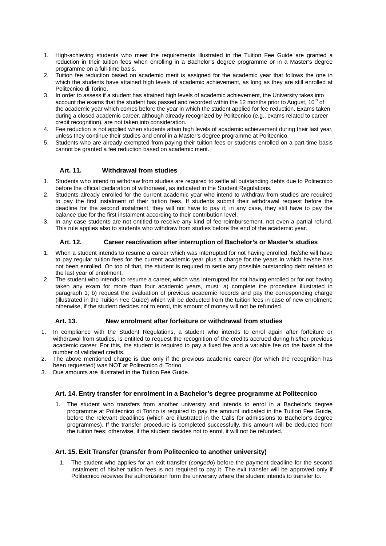- 1. High-achieving students who meet the requirements illustrated in the Tuition Fee Guide are granted a reduction in their tuition fees when enrolling in a Bachelor's degree programme or in a Master's degree programme on a full-time basis.
- 2. Tuition fee reduction based on academic merit is assigned for the academic year that follows the one in which the students have attained high levels of academic achievement, as long as they are still enrolled at Politecnico di Torino.
- 3. In order to assess if a student has attained high levels of academic achievement, the University takes into account the exams that the student has passed and recorded within the 12 months prior to August, 10<sup>th</sup> of the academic year which comes before the year in which the student applied for fee reduction. Exams taken during a closed academic career, although already recognized by Politecnico (e.g., exams related to career credit recognition), are not taken into consideration.
- 4. Fee reduction is not applied when students attain high levels of academic achievement during their last year, unless they continue their studies and enrol in a Master's degree programme at Politecnico.
- 5. Students who are already exempted from paying their tuition fees or students enrolled on a part-time basis cannot be granted a fee reduction based on academic merit.

#### **Art. 11. Withdrawal from studies**

- 1. Students who intend to withdraw from studies are required to settle all outstanding debts due to Politecnico before the official declaration of withdrawal, as indicated in the Student Regulations.
- 2. Students already enrolled for the current academic year who intend to withdraw from studies are required to pay the first instalment of their tuition fees. If students submit their withdrawal request before the deadline for the second instalment, they will not have to pay it; in any case, they still have to pay the balance due for the first instalment according to their contribution level.
- 3. In any case students are not entitled to receive any kind of fee reimbursement, not even a partial refund. This rule applies also to students who withdraw from studies before the end of the academic year.

#### **Art. 12. Career reactivation after interruption of Bachelor's or Master's studies**

- 1. When a student intends to resume a career which was interrupted for not having enrolled, he/she will have to pay regular tuition fees for the current academic year plus a charge for the years in which he/she has not been enrolled. On top of that, the student is required to settle any possible outstanding debt related to the last year of enrolment.
- 2. The student who intends to resume a career, which was interrupted for not having enrolled or for not having taken any exam for more than four academic years, must: a) complete the procedure illustrated in paragraph 1; b) request the evaluation of previous academic records and pay the corresponding charge (illustrated in the Tuition Fee Guide) which will be deducted from the tuition fees in case of new enrolment; otherwise, if the student decides not to enrol, this amount of money will not be refunded.

#### **Art. 13. New enrolment after forfeiture or withdrawal from studies**

- 1. In compliance with the Student Regulations, a student who intends to enrol again after forfeiture or withdrawal from studies, is entitled to request the recognition of the credits accrued during his/her previous academic career. For this, the student is required to pay a fixed fee and a variable fee on the basis of the number of validated credits.
- 2. The above mentioned charge is due only if the previous academic career (for which the recognition has been requested) was NOT at Politecnico di Torino.
- 3. Due amounts are illustrated in the Tuition Fee Guide.

#### **Art. 14. Entry transfer for enrolment in a Bachelor's degree programme at Politecnico**

1. The student who transfers from another university and intends to enrol in a Bachelor's degree programme at Politecnico di Torino is required to pay the amount indicated in the Tuition Fee Guide, before the relevant deadlines (which are illustrated in the Calls for admissions to Bachelor's degree programmes). If the transfer procedure is completed successfully, this amount will be deducted from the tuition fees; otherwise, if the student decides not to enrol, it will not be refunded.

#### **Art. 15. Exit Transfer (transfer from Politecnico to another university)**

1. The student who applies for an exit transfer (*congedo*) before the payment deadline for the second instalment of his/her tuition fees is not required to pay it. The exit transfer will be approved only if Politecnico receives the authorization form the university where the student intends to transfer to.